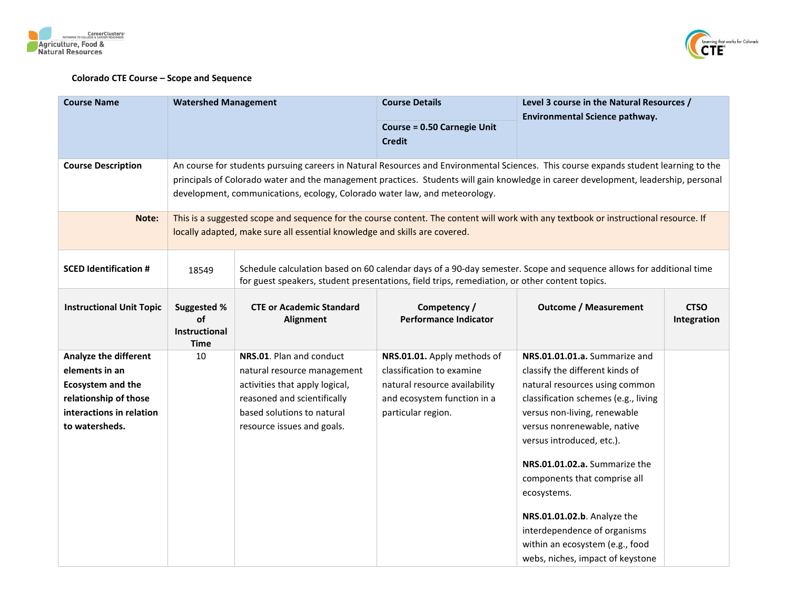



## **Colorado CTE Course – Scope and Sequence**

| <b>Course Name</b>                                                                                                                  | <b>Watershed Management</b>                                                                                                                                                                                        |                                                                                                                                                                                                                                                                                                                                                           | <b>Course Details</b>                                                                                                                          | Level 3 course in the Natural Resources /                                                                                                                                                                                                                                                                                                                                                                                                                    |                            |  |
|-------------------------------------------------------------------------------------------------------------------------------------|--------------------------------------------------------------------------------------------------------------------------------------------------------------------------------------------------------------------|-----------------------------------------------------------------------------------------------------------------------------------------------------------------------------------------------------------------------------------------------------------------------------------------------------------------------------------------------------------|------------------------------------------------------------------------------------------------------------------------------------------------|--------------------------------------------------------------------------------------------------------------------------------------------------------------------------------------------------------------------------------------------------------------------------------------------------------------------------------------------------------------------------------------------------------------------------------------------------------------|----------------------------|--|
|                                                                                                                                     |                                                                                                                                                                                                                    |                                                                                                                                                                                                                                                                                                                                                           | <b>Course = 0.50 Carnegie Unit</b><br><b>Credit</b>                                                                                            | Environmental Science pathway.                                                                                                                                                                                                                                                                                                                                                                                                                               |                            |  |
| <b>Course Description</b>                                                                                                           |                                                                                                                                                                                                                    | An course for students pursuing careers in Natural Resources and Environmental Sciences. This course expands student learning to the<br>principals of Colorado water and the management practices. Students will gain knowledge in career development, leadership, personal<br>development, communications, ecology, Colorado water law, and meteorology. |                                                                                                                                                |                                                                                                                                                                                                                                                                                                                                                                                                                                                              |                            |  |
| Note:                                                                                                                               | This is a suggested scope and sequence for the course content. The content will work with any textbook or instructional resource. If<br>locally adapted, make sure all essential knowledge and skills are covered. |                                                                                                                                                                                                                                                                                                                                                           |                                                                                                                                                |                                                                                                                                                                                                                                                                                                                                                                                                                                                              |                            |  |
| <b>SCED Identification #</b>                                                                                                        | 18549                                                                                                                                                                                                              | Schedule calculation based on 60 calendar days of a 90-day semester. Scope and sequence allows for additional time<br>for guest speakers, student presentations, field trips, remediation, or other content topics.                                                                                                                                       |                                                                                                                                                |                                                                                                                                                                                                                                                                                                                                                                                                                                                              |                            |  |
| <b>Instructional Unit Topic</b>                                                                                                     | <b>Suggested %</b><br>οf<br>Instructional<br><b>Time</b>                                                                                                                                                           | <b>CTE or Academic Standard</b><br>Alignment                                                                                                                                                                                                                                                                                                              | Competency /<br><b>Performance Indicator</b>                                                                                                   | <b>Outcome / Measurement</b>                                                                                                                                                                                                                                                                                                                                                                                                                                 | <b>CTSO</b><br>Integration |  |
| Analyze the different<br>elements in an<br>Ecosystem and the<br>relationship of those<br>interactions in relation<br>to watersheds. | 10                                                                                                                                                                                                                 | NRS.01. Plan and conduct<br>natural resource management<br>activities that apply logical,<br>reasoned and scientifically<br>based solutions to natural<br>resource issues and goals.                                                                                                                                                                      | NRS.01.01. Apply methods of<br>classification to examine<br>natural resource availability<br>and ecosystem function in a<br>particular region. | NRS.01.01.01.a. Summarize and<br>classify the different kinds of<br>natural resources using common<br>classification schemes (e.g., living<br>versus non-living, renewable<br>versus nonrenewable, native<br>versus introduced, etc.).<br>NRS.01.01.02.a. Summarize the<br>components that comprise all<br>ecosystems.<br>NRS.01.01.02.b. Analyze the<br>interdependence of organisms<br>within an ecosystem (e.g., food<br>webs, niches, impact of keystone |                            |  |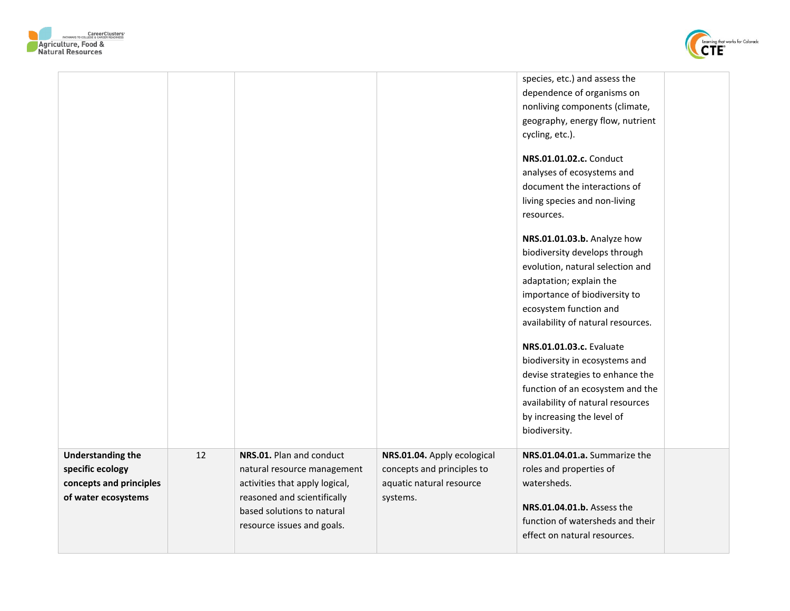



| <b>Understanding the</b><br>specific ecology<br>concepts and principles<br>of water ecosystems | 12 | NRS.01. Plan and conduct<br>natural resource management<br>activities that apply logical,<br>reasoned and scientifically<br>based solutions to natural<br>resource issues and goals. | NRS.01.04. Apply ecological<br>concepts and principles to<br>aquatic natural resource<br>systems. | NRS.01.04.01.a. Summarize the<br>roles and properties of<br>watersheds.<br>NRS.01.04.01.b. Assess the<br>function of watersheds and their<br>effect on natural resources.                                                                                                                                                                                                                                                                                                                                                                                                                                                                                                                                                                                     |
|------------------------------------------------------------------------------------------------|----|--------------------------------------------------------------------------------------------------------------------------------------------------------------------------------------|---------------------------------------------------------------------------------------------------|---------------------------------------------------------------------------------------------------------------------------------------------------------------------------------------------------------------------------------------------------------------------------------------------------------------------------------------------------------------------------------------------------------------------------------------------------------------------------------------------------------------------------------------------------------------------------------------------------------------------------------------------------------------------------------------------------------------------------------------------------------------|
|                                                                                                |    |                                                                                                                                                                                      |                                                                                                   | species, etc.) and assess the<br>dependence of organisms on<br>nonliving components (climate,<br>geography, energy flow, nutrient<br>cycling, etc.).<br>NRS.01.01.02.c. Conduct<br>analyses of ecosystems and<br>document the interactions of<br>living species and non-living<br>resources.<br>NRS.01.01.03.b. Analyze how<br>biodiversity develops through<br>evolution, natural selection and<br>adaptation; explain the<br>importance of biodiversity to<br>ecosystem function and<br>availability of natural resources.<br><b>NRS.01.01.03.c.</b> Evaluate<br>biodiversity in ecosystems and<br>devise strategies to enhance the<br>function of an ecosystem and the<br>availability of natural resources<br>by increasing the level of<br>biodiversity. |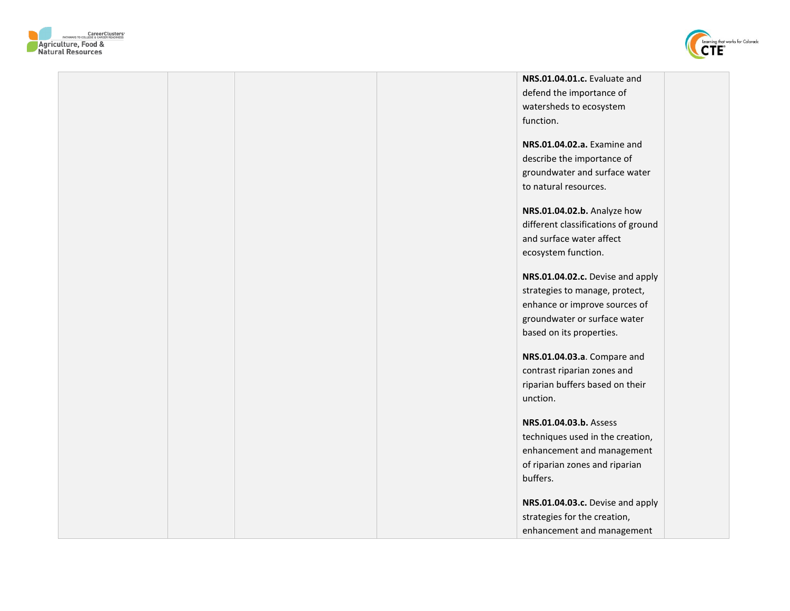



|  |  | NRS.01.04.01.c. Evaluate and        |  |
|--|--|-------------------------------------|--|
|  |  | defend the importance of            |  |
|  |  | watersheds to ecosystem             |  |
|  |  | function.                           |  |
|  |  |                                     |  |
|  |  | NRS.01.04.02.a. Examine and         |  |
|  |  | describe the importance of          |  |
|  |  | groundwater and surface water       |  |
|  |  | to natural resources.               |  |
|  |  |                                     |  |
|  |  | NRS.01.04.02.b. Analyze how         |  |
|  |  | different classifications of ground |  |
|  |  | and surface water affect            |  |
|  |  | ecosystem function.                 |  |
|  |  |                                     |  |
|  |  | NRS.01.04.02.c. Devise and apply    |  |
|  |  | strategies to manage, protect,      |  |
|  |  | enhance or improve sources of       |  |
|  |  | groundwater or surface water        |  |
|  |  | based on its properties.            |  |
|  |  | NRS.01.04.03.a. Compare and         |  |
|  |  | contrast riparian zones and         |  |
|  |  | riparian buffers based on their     |  |
|  |  | unction.                            |  |
|  |  |                                     |  |
|  |  | NRS.01.04.03.b. Assess              |  |
|  |  | techniques used in the creation,    |  |
|  |  | enhancement and management          |  |
|  |  | of riparian zones and riparian      |  |
|  |  | buffers.                            |  |
|  |  |                                     |  |
|  |  | NRS.01.04.03.c. Devise and apply    |  |
|  |  | strategies for the creation,        |  |
|  |  | enhancement and management          |  |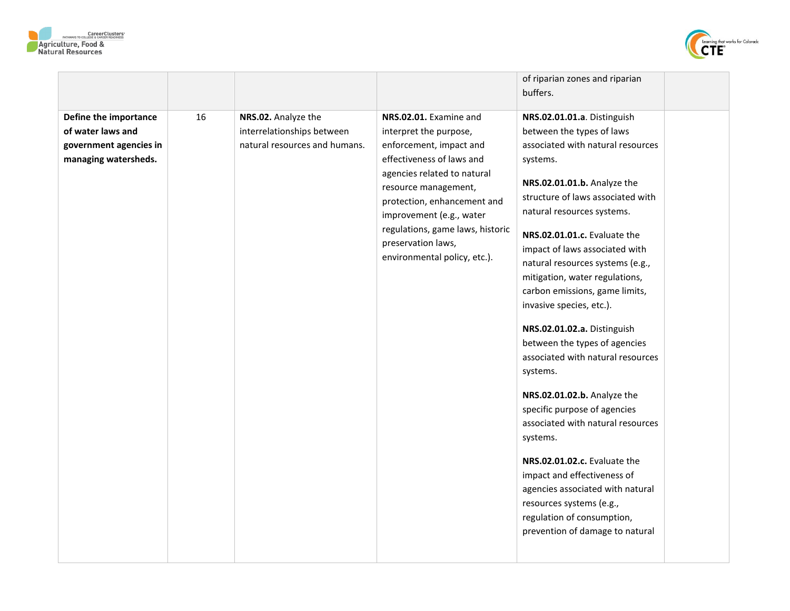



|                                                                                              |    |                                                                                    |                                                                                                                                                                                                                                                                                                                      | of riparian zones and riparian                                                                                                                                                                                                                                                                                                                                                                                                                                                                                                                                                                                                                                                                                                                                                                                                                     |  |
|----------------------------------------------------------------------------------------------|----|------------------------------------------------------------------------------------|----------------------------------------------------------------------------------------------------------------------------------------------------------------------------------------------------------------------------------------------------------------------------------------------------------------------|----------------------------------------------------------------------------------------------------------------------------------------------------------------------------------------------------------------------------------------------------------------------------------------------------------------------------------------------------------------------------------------------------------------------------------------------------------------------------------------------------------------------------------------------------------------------------------------------------------------------------------------------------------------------------------------------------------------------------------------------------------------------------------------------------------------------------------------------------|--|
|                                                                                              |    |                                                                                    |                                                                                                                                                                                                                                                                                                                      | buffers.                                                                                                                                                                                                                                                                                                                                                                                                                                                                                                                                                                                                                                                                                                                                                                                                                                           |  |
| Define the importance<br>of water laws and<br>government agencies in<br>managing watersheds. | 16 | NRS.02. Analyze the<br>interrelationships between<br>natural resources and humans. | NRS.02.01. Examine and<br>interpret the purpose,<br>enforcement, impact and<br>effectiveness of laws and<br>agencies related to natural<br>resource management,<br>protection, enhancement and<br>improvement (e.g., water<br>regulations, game laws, historic<br>preservation laws,<br>environmental policy, etc.). | NRS.02.01.01.a. Distinguish<br>between the types of laws<br>associated with natural resources<br>systems.<br>NRS.02.01.01.b. Analyze the<br>structure of laws associated with<br>natural resources systems.<br>NRS.02.01.01.c. Evaluate the<br>impact of laws associated with<br>natural resources systems (e.g.,<br>mitigation, water regulations,<br>carbon emissions, game limits,<br>invasive species, etc.).<br>NRS.02.01.02.a. Distinguish<br>between the types of agencies<br>associated with natural resources<br>systems.<br>NRS.02.01.02.b. Analyze the<br>specific purpose of agencies<br>associated with natural resources<br>systems.<br>NRS.02.01.02.c. Evaluate the<br>impact and effectiveness of<br>agencies associated with natural<br>resources systems (e.g.,<br>regulation of consumption,<br>prevention of damage to natural |  |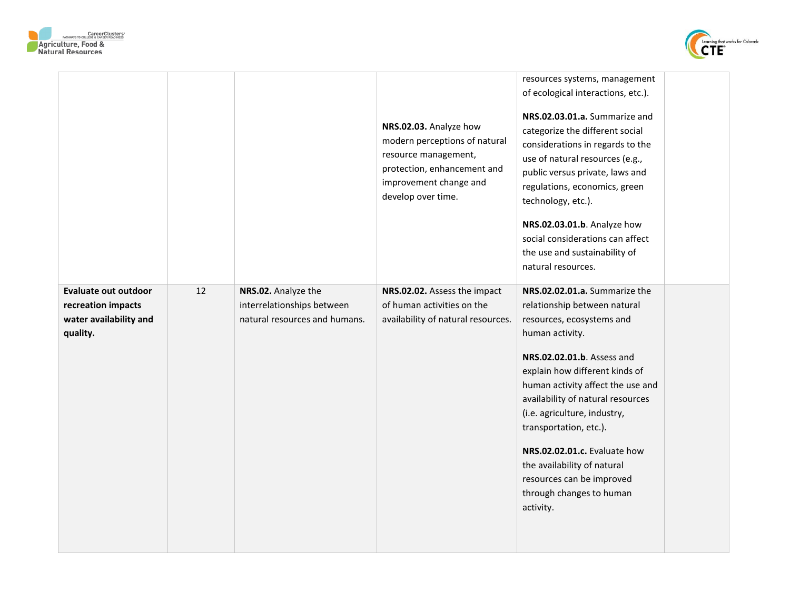



|                                                                                         |    |                                                                                    | NRS.02.03. Analyze how<br>modern perceptions of natural<br>resource management,<br>protection, enhancement and<br>improvement change and<br>develop over time. | resources systems, management<br>of ecological interactions, etc.).<br>NRS.02.03.01.a. Summarize and<br>categorize the different social<br>considerations in regards to the<br>use of natural resources (e.g.,<br>public versus private, laws and<br>regulations, economics, green<br>technology, etc.).<br>NRS.02.03.01.b. Analyze how<br>social considerations can affect<br>the use and sustainability of                                           |  |
|-----------------------------------------------------------------------------------------|----|------------------------------------------------------------------------------------|----------------------------------------------------------------------------------------------------------------------------------------------------------------|--------------------------------------------------------------------------------------------------------------------------------------------------------------------------------------------------------------------------------------------------------------------------------------------------------------------------------------------------------------------------------------------------------------------------------------------------------|--|
|                                                                                         |    |                                                                                    |                                                                                                                                                                | natural resources.                                                                                                                                                                                                                                                                                                                                                                                                                                     |  |
| <b>Evaluate out outdoor</b><br>recreation impacts<br>water availability and<br>quality. | 12 | NRS.02. Analyze the<br>interrelationships between<br>natural resources and humans. | NRS.02.02. Assess the impact<br>of human activities on the<br>availability of natural resources.                                                               | NRS.02.02.01.a. Summarize the<br>relationship between natural<br>resources, ecosystems and<br>human activity.<br>NRS.02.02.01.b. Assess and<br>explain how different kinds of<br>human activity affect the use and<br>availability of natural resources<br>(i.e. agriculture, industry,<br>transportation, etc.).<br>NRS.02.02.01.c. Evaluate how<br>the availability of natural<br>resources can be improved<br>through changes to human<br>activity. |  |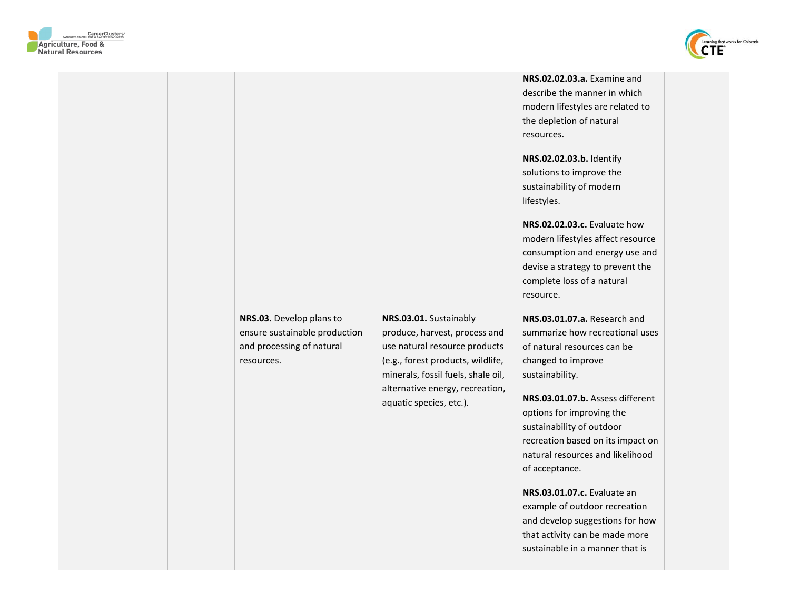



**NRS.03.** Develop plans to ensure sustainable production and processing of natural resources.

**NRS.03.01.** Sustainably produce, harvest, process and use natural resource products (e.g., forest products, wildlife, minerals, fossil fuels, shale oil, alternative energy, recreation, aquatic species, etc.).

**NRS.02.02.03.a.** Examine and describe the manner in which modern lifestyles are related to the depletion of natural resources.

**NRS.02.02.03.b.** Identify solutions to improve the sustainability of modern lifestyles.

**NRS.02.02.03.c.** Evaluate how modern lifestyles affect resource consumption and energy use and devise a strategy to prevent the complete loss of a natural resource.

**NRS.03.01.07.a.** Research and summarize how recreational uses of natural resources can be changed to improve sustainability.

**NRS.03.01.07.b.** Assess different options for improving the sustainability of outdoor recreation based on its impact on natural resources and likelihood of acceptance.

**NRS.03.01.07.c.** Evaluate an example of outdoor recreation and develop suggestions for how that activity can be made more sustainable in a manner that is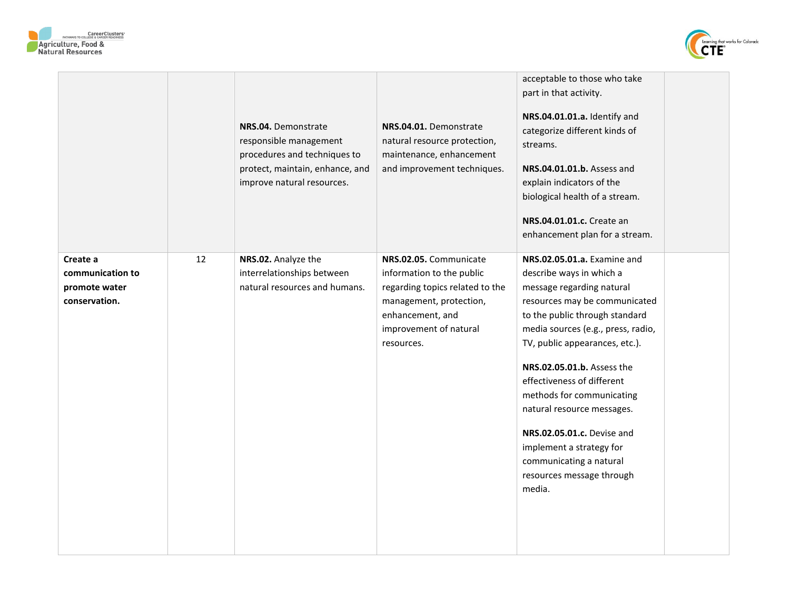



|                                                                |    | NRS.04. Demonstrate<br>responsible management<br>procedures and techniques to<br>protect, maintain, enhance, and<br>improve natural resources. | NRS.04.01. Demonstrate<br>natural resource protection,<br>maintenance, enhancement<br>and improvement techniques.                                                             | acceptable to those who take<br>part in that activity.<br>NRS.04.01.01.a. Identify and<br>categorize different kinds of<br>streams.<br>NRS.04.01.01.b. Assess and<br>explain indicators of the<br>biological health of a stream.<br>NRS.04.01.01.c. Create an<br>enhancement plan for a stream.                                                                                                                                                                                    |
|----------------------------------------------------------------|----|------------------------------------------------------------------------------------------------------------------------------------------------|-------------------------------------------------------------------------------------------------------------------------------------------------------------------------------|------------------------------------------------------------------------------------------------------------------------------------------------------------------------------------------------------------------------------------------------------------------------------------------------------------------------------------------------------------------------------------------------------------------------------------------------------------------------------------|
| Create a<br>communication to<br>promote water<br>conservation. | 12 | NRS.02. Analyze the<br>interrelationships between<br>natural resources and humans.                                                             | NRS.02.05. Communicate<br>information to the public<br>regarding topics related to the<br>management, protection,<br>enhancement, and<br>improvement of natural<br>resources. | NRS.02.05.01.a. Examine and<br>describe ways in which a<br>message regarding natural<br>resources may be communicated<br>to the public through standard<br>media sources (e.g., press, radio,<br>TV, public appearances, etc.).<br>NRS.02.05.01.b. Assess the<br>effectiveness of different<br>methods for communicating<br>natural resource messages.<br>NRS.02.05.01.c. Devise and<br>implement a strategy for<br>communicating a natural<br>resources message through<br>media. |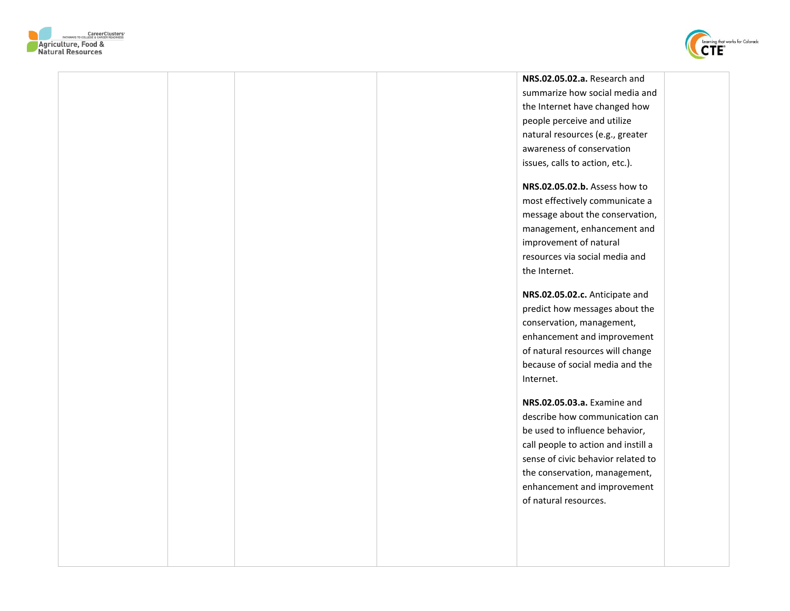